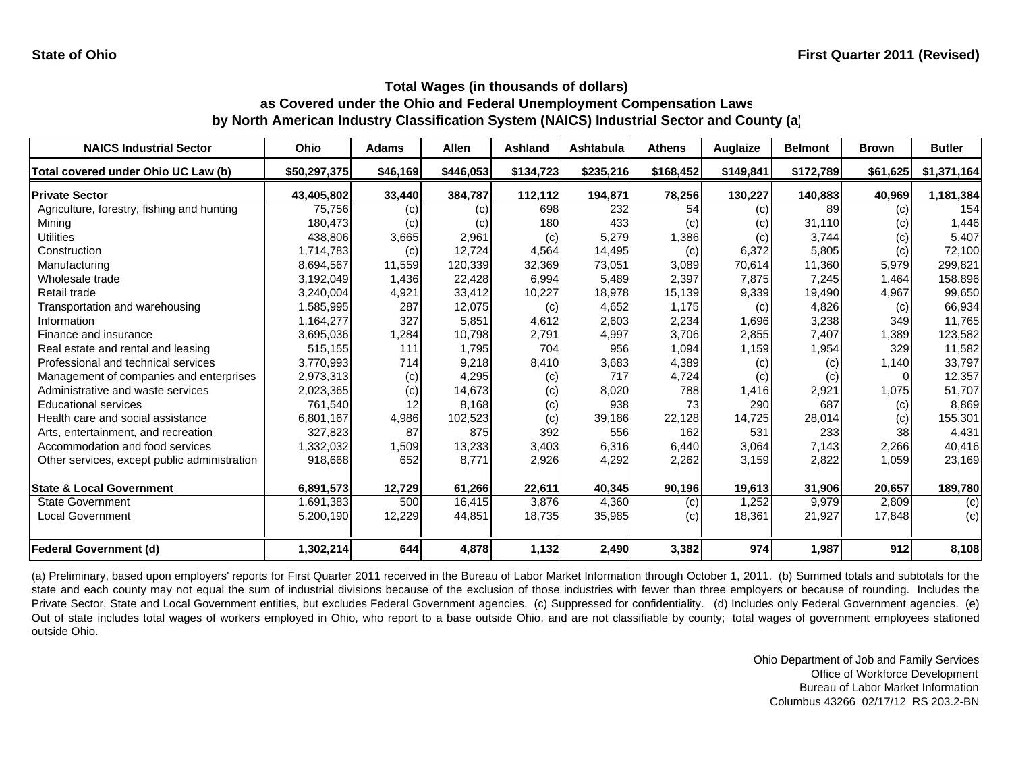| <b>NAICS Industrial Sector</b>               | Ohio         | <b>Adams</b> | Allen     | Ashland   | Ashtabula | <b>Athens</b> | Auglaize  | <b>Belmont</b> | <b>Brown</b> | <b>Butler</b> |
|----------------------------------------------|--------------|--------------|-----------|-----------|-----------|---------------|-----------|----------------|--------------|---------------|
| Total covered under Ohio UC Law (b)          | \$50,297,375 | \$46,169     | \$446,053 | \$134,723 | \$235,216 | \$168,452     | \$149,841 | \$172,789      | \$61,625     | \$1,371,164   |
| <b>Private Sector</b>                        | 43,405,802   | 33,440       | 384,787   | 112,112   | 194,871   | 78,256        | 130,227   | 140,883        | 40,969       | 1,181,384     |
| Agriculture, forestry, fishing and hunting   | 75,756       | (c)          | (c)       | 698       | 232       | 54            | (c)       | 89             | (c)          | 154           |
| Mining                                       | 180,473      | (c)          | (c)       | 180       | 433       | (c)           | (c)       | 31.110         | (c)          | 1,446         |
| <b>Utilities</b>                             | 438,806      | 3,665        | 2,961     | (c)       | 5,279     | 1,386         | (c)       | 3,744          | (c)          | 5,407         |
| Construction                                 | 1,714,783    | (c)          | 12,724    | 4,564     | 14,495    | (c)           | 6,372     | 5,805          | (c)          | 72,100        |
| Manufacturing                                | 8,694,567    | 11,559       | 120,339   | 32,369    | 73,051    | 3,089         | 70,614    | 11,360         | 5,979        | 299,821       |
| Wholesale trade                              | 3,192,049    | 1,436        | 22,428    | 6,994     | 5,489     | 2,397         | 7,875     | 7,245          | 1,464        | 158,896       |
| Retail trade                                 | 3,240,004    | 4,921        | 33,412    | 10,227    | 18,978    | 15,139        | 9,339     | 19,490         | 4,967        | 99,650        |
| Transportation and warehousing               | 1,585,995    | 287          | 12,075    | (c)       | 4,652     | 1,175         | (c)       | 4,826          | (c)          | 66,934        |
| Information                                  | 1,164,277    | 327          | 5,851     | 4,612     | 2,603     | 2,234         | 1,696     | 3,238          | 349          | 11,765        |
| Finance and insurance                        | 3,695,036    | 1,284        | 10,798    | 2,791     | 4,997     | 3,706         | 2,855     | 7,407          | 1,389        | 123,582       |
| Real estate and rental and leasing           | 515,155      | 111          | 1,795     | 704       | 956       | 1,094         | 1,159     | 1,954          | 329          | 11,582        |
| Professional and technical services          | 3,770,993    | 714          | 9,218     | 8,410     | 3,683     | 4,389         | (c)       | (c)            | 1,140        | 33,797        |
| Management of companies and enterprises      | 2,973,313    | (c)          | 4,295     | (c)       | 717       | 4,724         | (c)       | (c)            | $\Omega$     | 12,357        |
| Administrative and waste services            | 2,023,365    | (c)          | 14,673    | (c)       | 8,020     | 788           | 1,416     | 2,921          | 1,075        | 51,707        |
| <b>Educational services</b>                  | 761,540      | 12           | 8,168     | (c)       | 938       | 73            | 290       | 687            | (c)          | 8,869         |
| Health care and social assistance            | 6,801,167    | 4,986        | 102,523   | (c)       | 39,186    | 22,128        | 14,725    | 28,014         | (c)          | 155,301       |
| Arts, entertainment, and recreation          | 327,823      | 87           | 875       | 392       | 556       | 162           | 531       | 233            | 38           | 4,431         |
| Accommodation and food services              | 1,332,032    | 1,509        | 13,233    | 3,403     | 6,316     | 6,440         | 3,064     | 7,143          | 2,266        | 40,416        |
| Other services, except public administration | 918,668      | 652          | 8.771     | 2,926     | 4,292     | 2,262         | 3,159     | 2,822          | 1,059        | 23,169        |
| <b>State &amp; Local Government</b>          | 6,891,573    | 12,729       | 61,266    | 22,611    | 40,345    | 90,196        | 19,613    | 31,906         | 20,657       | 189,780       |
| <b>State Government</b>                      | 1,691,383    | 500          | 16,415    | 3,876     | 4,360     | (c)           | 1,252     | 9,979          | 2,809        | (c)           |
| <b>Local Government</b>                      | 5,200,190    | 12,229       | 44,851    | 18,735    | 35,985    | (c)           | 18,361    | 21,927         | 17,848       | (c)           |
| <b>Federal Government (d)</b>                | 1,302,214    | 644          | 4,878     | 1,132     | 2,490     | 3,382         | 974       | 1,987          | 912          | 8,108         |

(a) Preliminary, based upon employers' reports for First Quarter 2011 received in the Bureau of Labor Market Information through October 1, 2011. (b) Summed totals and subtotals for the state and each county may not equal the sum of industrial divisions because of the exclusion of those industries with fewer than three employers or because of rounding. Includes the Private Sector, State and Local Government entities, but excludes Federal Government agencies. (c) Suppressed for confidentiality. (d) Includes only Federal Government agencies. (e) Out of state includes total wages of workers employed in Ohio, who report to <sup>a</sup> base outside Ohio, and are not classifiable by county; total wages of government employees stationed outside Ohio.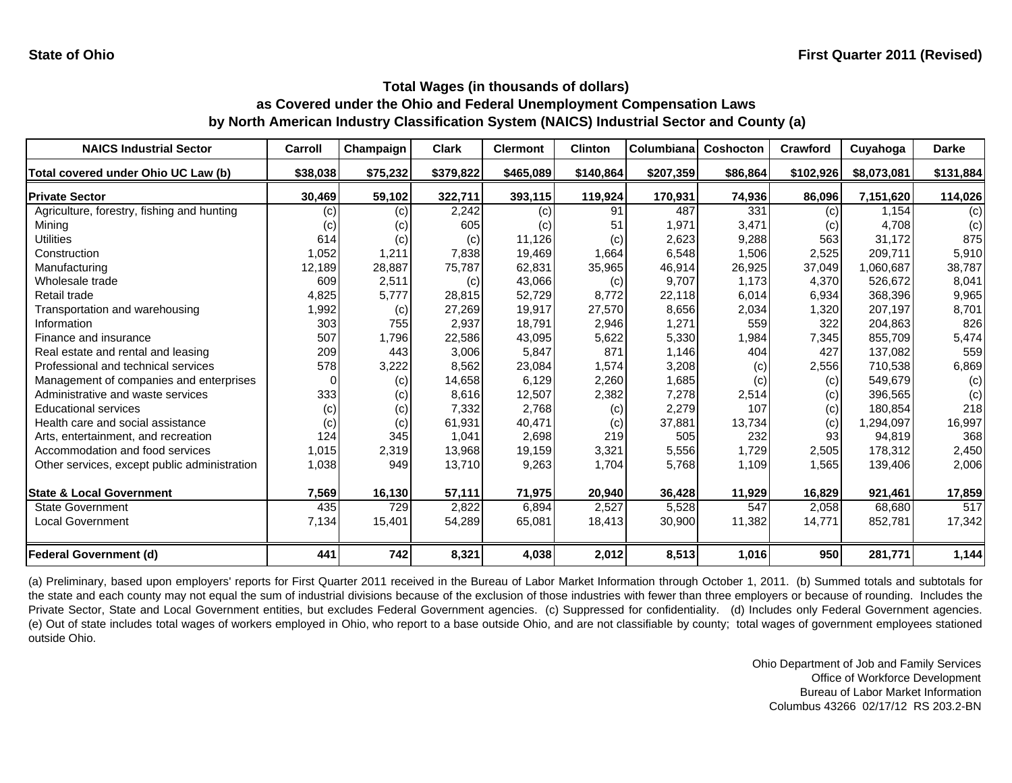| <b>NAICS Industrial Sector</b>               | Carroll  | Champaign | <b>Clark</b> | <b>Clermont</b> | <b>Clinton</b> | Columbiana | <b>Coshocton</b> | Crawford  | Cuyahoga    | <b>Darke</b> |
|----------------------------------------------|----------|-----------|--------------|-----------------|----------------|------------|------------------|-----------|-------------|--------------|
| Total covered under Ohio UC Law (b)          | \$38,038 | \$75,232  | \$379,822    | \$465,089       | \$140,864      | \$207,359  | \$86,864         | \$102,926 | \$8,073,081 | \$131,884    |
| <b>Private Sector</b>                        | 30,469   | 59,102    | 322,711      | 393,115         | 119,924        | 170,931    | 74,936           | 86,096    | 7,151,620   | 114,026      |
| Agriculture, forestry, fishing and hunting   | (c)      | (c)       | 2,242        | (c)             | 91             | 487        | 331              | (c)       | 1.154       | (c)          |
| Mining                                       | (c)      | (c)       | 605          | (c)             | 51             | 1,971      | 3,471            | (c)       | 4,708       | (c)          |
| Utilities                                    | 614      | (c)       | (c)          | 11,126          | (c)            | 2,623      | 9,288            | 563       | 31,172      | 875          |
| Construction                                 | 1,052    | 1,211     | 7,838        | 19.469          | 1,664          | 6,548      | 1,506            | 2,525     | 209,711     | 5,910        |
| Manufacturing                                | 12,189   | 28,887    | 75,787       | 62,831          | 35,965         | 46,914     | 26,925           | 37,049    | 1,060,687   | 38,787       |
| Wholesale trade                              | 609      | 2,511     | (c)          | 43,066          | (c)            | 9,707      | 1,173            | 4,370     | 526,672     | 8,041        |
| Retail trade                                 | 4,825    | 5,777     | 28,815       | 52,729          | 8,772          | 22,118     | 6,014            | 6,934     | 368,396     | 9,965        |
| Transportation and warehousing               | 1,992    | (c)       | 27,269       | 19,917          | 27,570         | 8,656      | 2,034            | 1,320     | 207,197     | 8,701        |
| Information                                  | 303      | 755       | 2,937        | 18,791          | 2,946          | 1,271      | 559              | 322       | 204,863     | 826          |
| Finance and insurance                        | 507      | 1,796     | 22,586       | 43,095          | 5,622          | 5,330      | 1,984            | 7,345     | 855,709     | 5,474        |
| Real estate and rental and leasing           | 209      | 443       | 3,006        | 5,847           | 871            | 1,146      | 404              | 427       | 137,082     | 559          |
| Professional and technical services          | 578      | 3,222     | 8,562        | 23,084          | 1,574          | 3,208      | (c)              | 2,556     | 710,538     | 6,869        |
| Management of companies and enterprises      | 0        | (c)       | 14,658       | 6,129           | 2,260          | 1,685      | (c)              | (c)       | 549,679     | (c)          |
| Administrative and waste services            | 333      | (c)       | 8,616        | 12,507          | 2,382          | 7,278      | 2,514            | (c)       | 396,565     | (c)          |
| <b>Educational services</b>                  | (c)      | (c)       | 7,332        | 2,768           | (c)            | 2,279      | 107              | (c)       | 180,854     | 218          |
| Health care and social assistance            | (c)      | (c)       | 61,931       | 40,471          | (c)            | 37,881     | 13,734           | (c)       | 1,294,097   | 16,997       |
| Arts, entertainment, and recreation          | 124      | 345       | 1,041        | 2,698           | 219            | 505        | 232              | 93        | 94,819      | 368          |
| Accommodation and food services              | 1,015    | 2,319     | 13,968       | 19,159          | 3,321          | 5,556      | 1,729            | 2,505     | 178,312     | 2,450        |
| Other services, except public administration | 1,038    | 949       | 13,710       | 9,263           | 1,704          | 5,768      | 1,109            | 1,565     | 139,406     | 2,006        |
| <b>State &amp; Local Government</b>          | 7,569    | 16,130    | 57,111       | 71,975          | 20,940         | 36,428     | 11,929           | 16,829    | 921,461     | 17,859       |
| <b>State Government</b>                      | 435      | 729       | 2,822        | 6,894           | 2,527          | 5,528      | 547              | 2,058     | 68,680      | 517          |
| <b>Local Government</b>                      | 7,134    | 15,401    | 54,289       | 65,081          | 18,413         | 30,900     | 11,382           | 14,771    | 852,781     | 17,342       |
| <b>Federal Government (d)</b>                | 441      | 742       | 8,321        | 4,038           | 2,012          | 8,513      | 1,016            | 950       | 281,771     | 1,144        |

(a) Preliminary, based upon employers' reports for First Quarter 2011 received in the Bureau of Labor Market Information through October 1, 2011. (b) Summed totals and subtotals for the state and each county may not equal the sum of industrial divisions because of the exclusion of those industries with fewer than three employers or because of rounding. Includes the Private Sector, State and Local Government entities, but excludes Federal Government agencies. (c) Suppressed for confidentiality. (d) Includes only Federal Government agencies. (e) Out of state includes total wages of workers employed in Ohio, who report to <sup>a</sup> base outside Ohio, and are not classifiable by county; total wages of government employees stationed outside Ohio.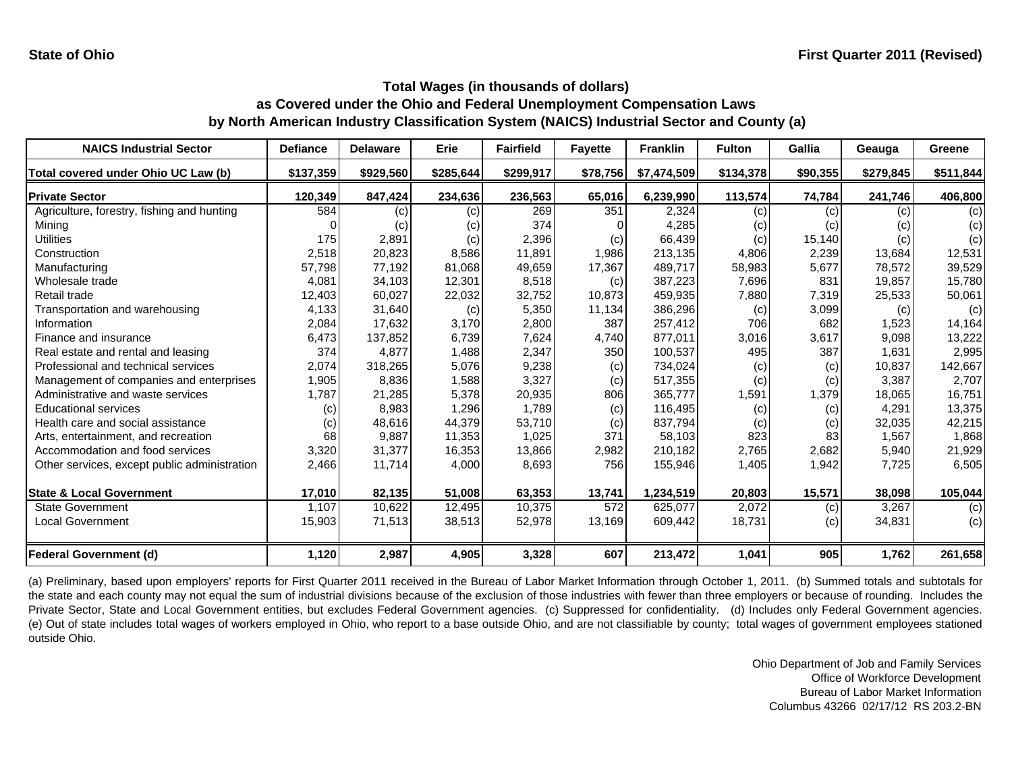| <b>NAICS Industrial Sector</b>               | <b>Defiance</b> | <b>Delaware</b> | Erie      | <b>Fairfield</b> | <b>Fayette</b> | <b>Franklin</b> | <b>Fulton</b> | Gallia   | Geauga    | Greene    |
|----------------------------------------------|-----------------|-----------------|-----------|------------------|----------------|-----------------|---------------|----------|-----------|-----------|
| Total covered under Ohio UC Law (b)          | \$137,359       | \$929,560       | \$285,644 | \$299,917        | \$78,756       | \$7,474,509     | \$134,378     | \$90,355 | \$279,845 | \$511,844 |
| <b>Private Sector</b>                        | 120,349         | 847,424         | 234,636   | 236,563          | 65,016         | 6,239,990       | 113,574       | 74,784   | 241,746   | 406,800   |
| Agriculture, forestry, fishing and hunting   | 584             | (c)             | (c)       | 269              | 351            | 2,324           | (c)           | (c)      | (c)       | (c)       |
| Mining                                       |                 | (c)             | (c)       | 374              |                | 4,285           | (c)           | (c)      | (c)       | (c)       |
| Utilities                                    | 175             | 2,891           | (c)       | 2,396            | (c)            | 66,439          | (c)           | 15,140   | (c)       | (c)       |
| Construction                                 | 2,518           | 20,823          | 8,586     | 11,891           | 1,986          | 213,135         | 4,806         | 2,239    | 13,684    | 12,531    |
| Manufacturing                                | 57,798          | 77,192          | 81,068    | 49,659           | 17,367         | 489,717         | 58,983        | 5,677    | 78,572    | 39,529    |
| Wholesale trade                              | 4,081           | 34,103          | 12,301    | 8,518            | (c)            | 387,223         | 7,696         | 831      | 19,857    | 15,780    |
| Retail trade                                 | 12,403          | 60,027          | 22,032    | 32,752           | 10,873         | 459,935         | 7,880         | 7,319    | 25,533    | 50,061    |
| Transportation and warehousing               | 4,133           | 31,640          | (c)       | 5,350            | 11,134         | 386,296         | (c)           | 3,099    | (c)       | (c)       |
| Information                                  | 2,084           | 17,632          | 3,170     | 2,800            | 387            | 257,412         | 706           | 682      | 1,523     | 14,164    |
| Finance and insurance                        | 6,473           | 137,852         | 6,739     | 7,624            | 4,740          | 877,011         | 3,016         | 3,617    | 9,098     | 13,222    |
| Real estate and rental and leasing           | 374             | 4,877           | 1,488     | 2,347            | 350            | 100,537         | 495           | 387      | 1,631     | 2,995     |
| Professional and technical services          | 2,074           | 318,265         | 5,076     | 9,238            | (c)            | 734,024         | (c)           | (c)      | 10,837    | 142,667   |
| Management of companies and enterprises      | 1,905           | 8,836           | 1,588     | 3,327            | (c)            | 517,355         | (c)           | (c)      | 3,387     | 2,707     |
| Administrative and waste services            | 1,787           | 21,285          | 5,378     | 20,935           | 806            | 365,777         | 1,591         | 1,379    | 18,065    | 16,751    |
| <b>Educational services</b>                  | (c)             | 8,983           | 1,296     | 1,789            | (c)            | 116,495         | (c)           | (c)      | 4,291     | 13,375    |
| Health care and social assistance            | (c)             | 48,616          | 44,379    | 53,710           | (c)            | 837,794         | (c)           | (c)      | 32,035    | 42,215    |
| Arts, entertainment, and recreation          | 68              | 9,887           | 11,353    | 1,025            | 371            | 58,103          | 823           | 83       | 1,567     | 1,868     |
| Accommodation and food services              | 3,320           | 31,377          | 16,353    | 13,866           | 2,982          | 210,182         | 2,765         | 2,682    | 5,940     | 21,929    |
| Other services, except public administration | 2,466           | 11,714          | 4,000     | 8,693            | 756            | 155,946         | 1,405         | 1,942    | 7,725     | 6,505     |
| <b>State &amp; Local Government</b>          | 17,010          | 82,135          | 51,008    | 63,353           | 13,741         | 1,234,519       | 20,803        | 15,571   | 38,098    | 105,044   |
| <b>State Government</b>                      | 1,107           | 10,622          | 12,495    | 10,375           | 572            | 625,077         | 2,072         | (c)      | 3,267     | (c)       |
| Local Government                             | 15,903          | 71,513          | 38,513    | 52,978           | 13,169         | 609,442         | 18,731        | (c)      | 34,831    | (c)       |
| <b>Federal Government (d)</b>                | 1,120           | 2,987           | 4,905     | 3,328            | 607            | 213,472         | 1,041         | 905      | 1,762     | 261,658   |

(a) Preliminary, based upon employers' reports for First Quarter 2011 received in the Bureau of Labor Market Information through October 1, 2011. (b) Summed totals and subtotals for the state and each county may not equal the sum of industrial divisions because of the exclusion of those industries with fewer than three employers or because of rounding. Includes the Private Sector, State and Local Government entities, but excludes Federal Government agencies. (c) Suppressed for confidentiality. (d) Includes only Federal Government agencies. (e) Out of state includes total wages of workers employed in Ohio, who report to <sup>a</sup> base outside Ohio, and are not classifiable by county; total wages of government employees stationed outside Ohio.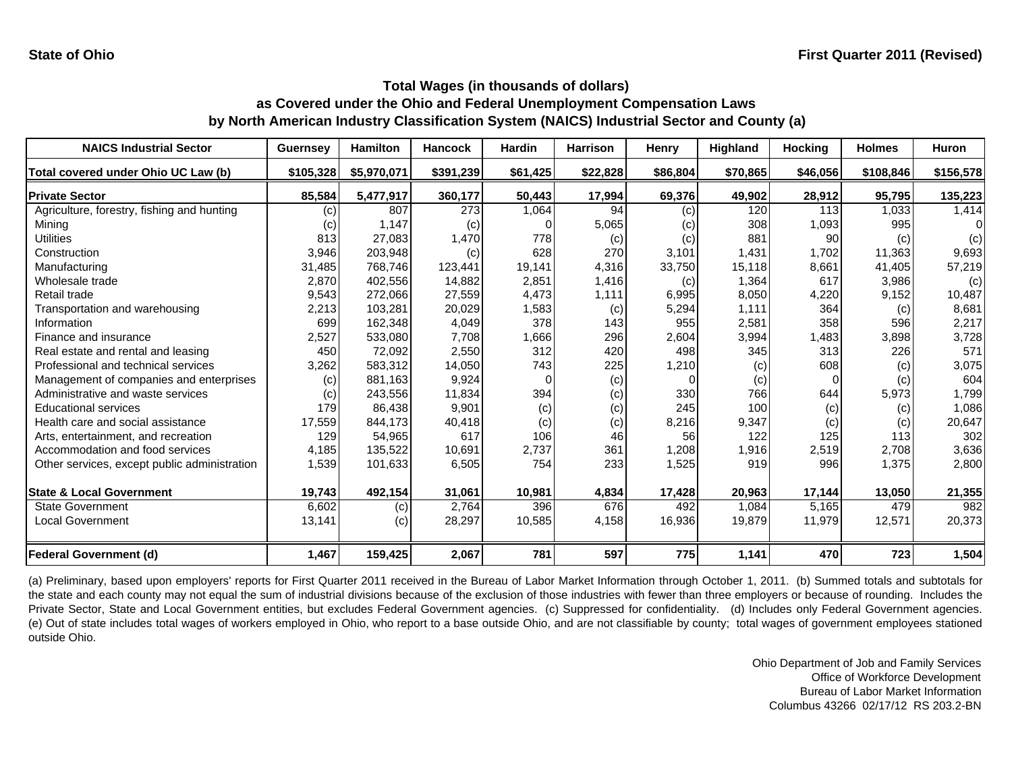| <b>NAICS Industrial Sector</b>               | <b>Guernsey</b>            | <b>Hamilton</b> | <b>Hancock</b> | <b>Hardin</b> | <b>Harrison</b> | Henry    | Highland | <b>Hocking</b> | <b>Holmes</b> | <b>Huron</b> |
|----------------------------------------------|----------------------------|-----------------|----------------|---------------|-----------------|----------|----------|----------------|---------------|--------------|
| Total covered under Ohio UC Law (b)          | \$105,328                  | \$5,970,071     | \$391,239      | \$61,425      | \$22,828        | \$86,804 | \$70.865 | \$46,056       | \$108,846     | \$156,578    |
| <b>Private Sector</b>                        | 85,584                     | 5,477,917       | 360,177        | 50,443        | 17,994          | 69,376   | 49,902   | 28,912         | 95,795        | 135,223      |
| Agriculture, forestry, fishing and hunting   | (c)                        | 807             | 273            | 1,064         | 94              | (c)      | 120      | 113            | 1.033         | 1,414        |
| Mining                                       | $\left( \mathrm{c}\right)$ | 1,147           | (c)            |               | 5,065           | (c)      | 308      | 1,093          | 995           | $\Omega$     |
| <b>Utilities</b>                             | 813                        | 27,083          | 1,470          | 778           | (c)             | (c)      | 881      | 90             | (c)           | (c)          |
| Construction                                 | 3,946                      | 203,948         | (c)            | 628           | 270             | 3,101    | 1,431    | 1,702          | 11,363        | 9,693        |
| Manufacturing                                | 31,485                     | 768,746         | 123,441        | 19.141        | 4,316           | 33,750   | 15.118   | 8,661          | 41.405        | 57,219       |
| Wholesale trade                              | 2,870                      | 402,556         | 14,882         | 2,851         | 1,416           | (c)      | 1,364    | 617            | 3,986         | (c)          |
| Retail trade                                 | 9,543                      | 272,066         | 27,559         | 4,473         | 1,111           | 6,995    | 8,050    | 4,220          | 9,152         | 10,487       |
| Transportation and warehousing               | 2,213                      | 103,281         | 20,029         | 1,583         | (c)             | 5,294    | 1,111    | 364            | (c)           | 8,681        |
| Information                                  | 699                        | 162,348         | 4,049          | 378           | 143             | 955      | 2,581    | 358            | 596           | 2,217        |
| Finance and insurance                        | 2,527                      | 533,080         | 7,708          | 1,666         | 296             | 2,604    | 3,994    | 1,483          | 3,898         | 3,728        |
| Real estate and rental and leasing           | 450                        | 72,092          | 2,550          | 312           | 420             | 498      | 345      | 313            | 226           | 571          |
| Professional and technical services          | 3,262                      | 583,312         | 14,050         | 743           | 225             | 1,210    | (c)      | 608            | (c)           | 3,075        |
| Management of companies and enterprises      | (c)                        | 881,163         | 9,924          | O             | (c)             |          | (c)      | 0              | (c)           | 604          |
| Administrative and waste services            | (c)                        | 243,556         | 11,834         | 394           | (c)             | 330      | 766      | 644            | 5,973         | 1,799        |
| <b>Educational services</b>                  | 179                        | 86,438          | 9,901          | (c)           | (c)             | 245      | 100      | (c)            | (c)           | 1,086        |
| Health care and social assistance            | 17,559                     | 844,173         | 40,418         | (c)           | (c)             | 8,216    | 9,347    | (c)            | (c)           | 20,647       |
| Arts, entertainment, and recreation          | 129                        | 54,965          | 617            | 106           | 46              | 56       | 122      | 125            | 113           | 302          |
| Accommodation and food services              | 4,185                      | 135,522         | 10,691         | 2,737         | 361             | 1,208    | 1,916    | 2,519          | 2,708         | 3,636        |
| Other services, except public administration | 1,539                      | 101,633         | 6,505          | 754           | 233             | 1,525    | 919      | 996            | 1,375         | 2,800        |
| <b>State &amp; Local Government</b>          | 19,743                     | 492,154         | 31,061         | 10,981        | 4,834           | 17,428   | 20,963   | 17,144         | 13,050        | 21,355       |
| <b>State Government</b>                      | 6,602                      | (c)             | 2,764          | 396           | 676             | 492      | 1,084    | 5,165          | 479           | 982          |
| Local Government                             | 13,141                     | (c)             | 28,297         | 10,585        | 4,158           | 16,936   | 19,879   | 11,979         | 12,571        | 20,373       |
| <b>Federal Government (d)</b>                | 1,467                      | 159,425         | 2,067          | 781           | 597             | 775      | 1,141    | 470            | 723           | 1,504        |

(a) Preliminary, based upon employers' reports for First Quarter 2011 received in the Bureau of Labor Market Information through October 1, 2011. (b) Summed totals and subtotals for the state and each county may not equal the sum of industrial divisions because of the exclusion of those industries with fewer than three employers or because of rounding. Includes the Private Sector, State and Local Government entities, but excludes Federal Government agencies. (c) Suppressed for confidentiality. (d) Includes only Federal Government agencies. (e) Out of state includes total wages of workers employed in Ohio, who report to <sup>a</sup> base outside Ohio, and are not classifiable by county; total wages of government employees stationed outside Ohio.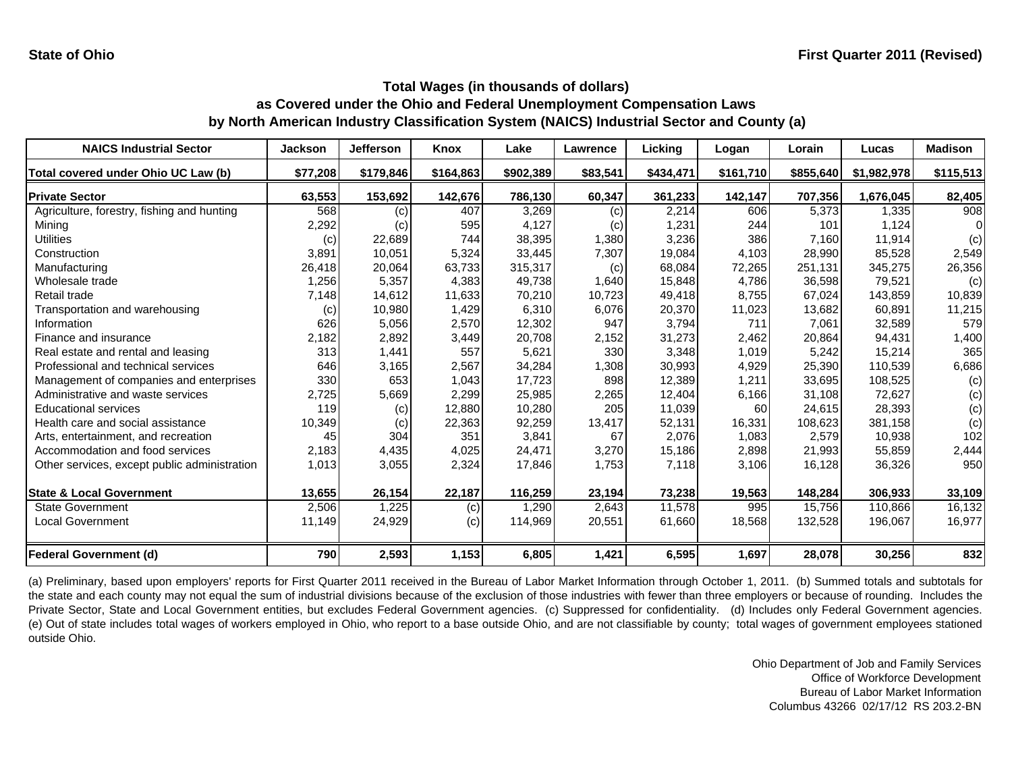| <b>NAICS Industrial Sector</b>               | <b>Jackson</b> | Jefferson | Knox      | Lake      | Lawrence | Licking   | Logan     | Lorain    | Lucas       | <b>Madison</b> |
|----------------------------------------------|----------------|-----------|-----------|-----------|----------|-----------|-----------|-----------|-------------|----------------|
| Total covered under Ohio UC Law (b)          | \$77,208       | \$179,846 | \$164,863 | \$902,389 | \$83,541 | \$434,471 | \$161,710 | \$855,640 | \$1,982,978 | \$115,513      |
| <b>IPrivate Sector</b>                       | 63,553         | 153,692   | 142,676   | 786,130   | 60,347   | 361,233   | 142,147   | 707,356   | 1,676,045   | 82,405         |
| Agriculture, forestry, fishing and hunting   | 568            | (c)       | 407       | 3,269     | (c)      | 2,214     | 606       | 5,373     | 1,335       | 908            |
| Mining                                       | 2,292          | (c)       | 595       | 4,127     | (c)      | 1,231     | 244       | 101       | 1,124       |                |
| <b>Utilities</b>                             | (c)            | 22,689    | 744       | 38,395    | 1,380    | 3,236     | 386       | 7,160     | 11,914      | (c)            |
| Construction                                 | 3,891          | 10,051    | 5,324     | 33,445    | 7,307    | 19,084    | 4,103     | 28,990    | 85,528      | 2,549          |
| Manufacturing                                | 26,418         | 20,064    | 63,733    | 315,317   | (c)      | 68,084    | 72,265    | 251,131   | 345,275     | 26,356         |
| Wholesale trade                              | 1,256          | 5,357     | 4,383     | 49,738    | 1,640    | 15,848    | 4,786     | 36.598    | 79.521      | (c)            |
| Retail trade                                 | 7,148          | 14,612    | 11,633    | 70,210    | 10,723   | 49,418    | 8.755     | 67,024    | 143.859     | 10,839         |
| Transportation and warehousing               | (c)            | 10,980    | 1,429     | 6,310     | 6,076    | 20,370    | 11,023    | 13,682    | 60,891      | 11,215         |
| Information                                  | 626            | 5,056     | 2,570     | 12,302    | 947      | 3,794     | 711       | 7,061     | 32,589      | 579            |
| Finance and insurance                        | 2,182          | 2,892     | 3,449     | 20,708    | 2,152    | 31,273    | 2,462     | 20,864    | 94,431      | 1,400          |
| Real estate and rental and leasing           | 313            | 1,441     | 557       | 5,621     | 330      | 3,348     | 1,019     | 5,242     | 15,214      | 365            |
| Professional and technical services          | 646            | 3,165     | 2,567     | 34,284    | 1,308    | 30,993    | 4,929     | 25,390    | 110,539     | 6,686          |
| Management of companies and enterprises      | 330            | 653       | 1,043     | 17.723    | 898      | 12,389    | 1,211     | 33.695    | 108,525     | (c)            |
| Administrative and waste services            | 2,725          | 5,669     | 2,299     | 25,985    | 2,265    | 12.404    | 6,166     | 31.108    | 72,627      | (c)            |
| <b>Educational services</b>                  | 119            | (c)       | 12,880    | 10,280    | 205      | 11,039    | 60        | 24,615    | 28,393      | (c)            |
| Health care and social assistance            | 10,349         | (c)       | 22,363    | 92,259    | 13,417   | 52,131    | 16,331    | 108.623   | 381,158     | (c)            |
| Arts, entertainment, and recreation          | 45             | 304       | 351       | 3,841     | 67       | 2,076     | 1,083     | 2,579     | 10,938      | 102            |
| Accommodation and food services              | 2,183          | 4,435     | 4,025     | 24,471    | 3,270    | 15,186    | 2,898     | 21,993    | 55,859      | 2,444          |
| Other services, except public administration | 1,013          | 3,055     | 2,324     | 17,846    | 1,753    | 7,118     | 3,106     | 16,128    | 36,326      | 950            |
| <b>State &amp; Local Government</b>          | 13,655         | 26,154    | 22,187    | 116,259   | 23,194   | 73,238    | 19,563    | 148,284   | 306,933     | 33,109         |
| <b>State Government</b>                      | 2,506          | 1,225     | (c)       | 1,290     | 2,643    | 11,578    | 995       | 15,756    | 110.866     | 16,132         |
| Local Government                             | 11,149         | 24,929    | (c)       | 114,969   | 20,551   | 61,660    | 18,568    | 132,528   | 196,067     | 16,977         |
| <b>Federal Government (d)</b>                | 790            | 2,593     | 1,153     | 6,805     | 1,421    | 6,595     | 1,697     | 28,078    | 30,256      | 832            |

(a) Preliminary, based upon employers' reports for First Quarter 2011 received in the Bureau of Labor Market Information through October 1, 2011. (b) Summed totals and subtotals for the state and each county may not equal the sum of industrial divisions because of the exclusion of those industries with fewer than three employers or because of rounding. Includes the Private Sector, State and Local Government entities, but excludes Federal Government agencies. (c) Suppressed for confidentiality. (d) Includes only Federal Government agencies. (e) Out of state includes total wages of workers employed in Ohio, who report to <sup>a</sup> base outside Ohio, and are not classifiable by county; total wages of government employees stationed outside Ohio.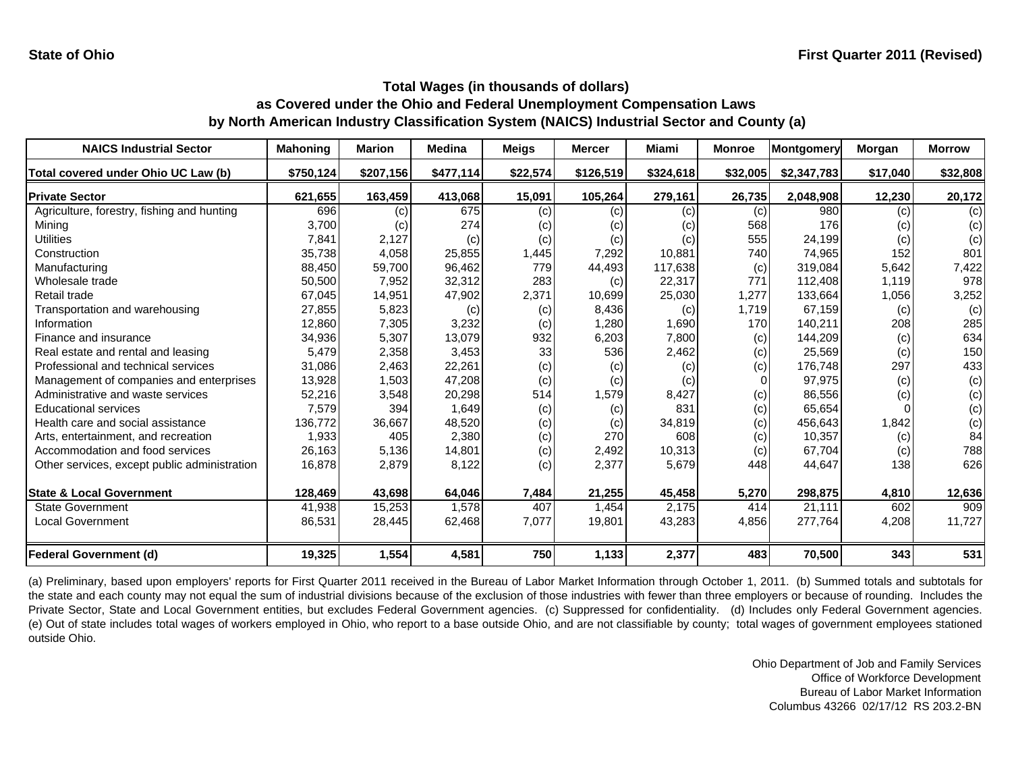| <b>NAICS Industrial Sector</b>               | <b>Mahoning</b> | <b>Marion</b> | <b>Medina</b> | <b>Meigs</b> | <b>Mercer</b> | Miami     | <b>Monroe</b> | Montgomery  | Morgan   | <b>Morrow</b> |
|----------------------------------------------|-----------------|---------------|---------------|--------------|---------------|-----------|---------------|-------------|----------|---------------|
| Total covered under Ohio UC Law (b)          | \$750,124       | \$207,156     | \$477,114     | \$22,574     | \$126,519     | \$324,618 | \$32,005      | \$2,347,783 | \$17,040 | \$32,808      |
| <b>Private Sector</b>                        | 621,655         | 163,459       | 413,068       | 15,091       | 105,264       | 279,161   | 26,735        | 2,048,908   | 12,230   | 20,172        |
| Agriculture, forestry, fishing and hunting   | 696             | (c)           | 675           | (c)          | (c)           | (c)       | (c)           | 980         | (c)      | (c)           |
| Mining                                       | 3,700           | (c)           | 274           | (c)          | (c)           | (c)       | 568           | 176         | (c)      | (c)           |
| Utilities                                    | 7,841           | 2,127         | (c)           | (c)          | (c)           | (c)       | 555           | 24,199      | (c)      | (c)           |
| Construction                                 | 35,738          | 4,058         | 25,855        | 1,445        | 7,292         | 10,881    | 740           | 74,965      | 152      | 801           |
| Manufacturing                                | 88,450          | 59,700        | 96,462        | 779          | 44,493        | 117,638   | (c)           | 319,084     | 5,642    | 7,422         |
| Wholesale trade                              | 50,500          | 7,952         | 32,312        | 283          | (c)           | 22,317    | 771           | 112,408     | 1.119    | 978           |
| Retail trade                                 | 67,045          | 14,951        | 47,902        | 2,371        | 10,699        | 25,030    | .277          | 133,664     | 1,056    | 3,252         |
| Transportation and warehousing               | 27,855          | 5,823         | (c)           | (c)          | 8,436         | (c)       | 1,719         | 67,159      | (c)      | (c)           |
| Information                                  | 12,860          | 7,305         | 3,232         | (c)          | 1,280         | 1,690     | 170           | 140,211     | 208      | 285           |
| Finance and insurance                        | 34,936          | 5,307         | 13,079        | 932          | 6,203         | 7,800     | (c)           | 144,209     | (c)      | 634           |
| Real estate and rental and leasing           | 5,479           | 2,358         | 3,453         | 33           | 536           | 2,462     | (c)           | 25,569      | (c)      | 150           |
| Professional and technical services          | 31,086          | 2,463         | 22,261        | (c)          | (c)           | (c)       | (c)           | 176,748     | 297      | 433           |
| Management of companies and enterprises      | 13,928          | 1,503         | 47,208        | (c)          | (c)           | (c)       |               | 97,975      | (c)      | (c)           |
| Administrative and waste services            | 52,216          | 3,548         | 20,298        | 514          | 1,579         | 8,427     | (c)           | 86,556      | (c)      | (c)           |
| <b>Educational services</b>                  | 7,579           | 394           | 1,649         | (c)          | (c)           | 831       | (c)           | 65,654      |          | (c)           |
| Health care and social assistance            | 136,772         | 36,667        | 48,520        | (c)          | (c)           | 34,819    | (c)           | 456,643     | 1,842    | (c)           |
| Arts, entertainment, and recreation          | 1,933           | 405           | 2,380         | (c)          | 270           | 608       | (c)           | 10,357      | (c)      | 84            |
| Accommodation and food services              | 26,163          | 5,136         | 14,801        | (c)          | 2,492         | 10,313    | (c)           | 67,704      | (c)      | 788           |
| Other services, except public administration | 16,878          | 2,879         | 8,122         | (c)          | 2,377         | 5,679     | 448           | 44,647      | 138      | 626           |
| <b>State &amp; Local Government</b>          | 128,469         | 43,698        | 64,046        | 7,484        | 21,255        | 45,458    | 5,270         | 298,875     | 4,810    | 12,636        |
| <b>State Government</b>                      | 41,938          | 15,253        | 1,578         | 407          | 1,454         | 2.175     | 414           | 21,111      | 602      | 909           |
| <b>Local Government</b>                      | 86,531          | 28,445        | 62,468        | 7,077        | 19,801        | 43,283    | 4,856         | 277,764     | 4,208    | 11,727        |
| <b>Federal Government (d)</b>                | 19,325          | 1,554         | 4,581         | 750          | 1,133         | 2,377     | 483           | 70,500      | 343      | 531           |

(a) Preliminary, based upon employers' reports for First Quarter 2011 received in the Bureau of Labor Market Information through October 1, 2011. (b) Summed totals and subtotals for the state and each county may not equal the sum of industrial divisions because of the exclusion of those industries with fewer than three employers or because of rounding. Includes the Private Sector, State and Local Government entities, but excludes Federal Government agencies. (c) Suppressed for confidentiality. (d) Includes only Federal Government agencies. (e) Out of state includes total wages of workers employed in Ohio, who report to <sup>a</sup> base outside Ohio, and are not classifiable by county; total wages of government employees stationed outside Ohio.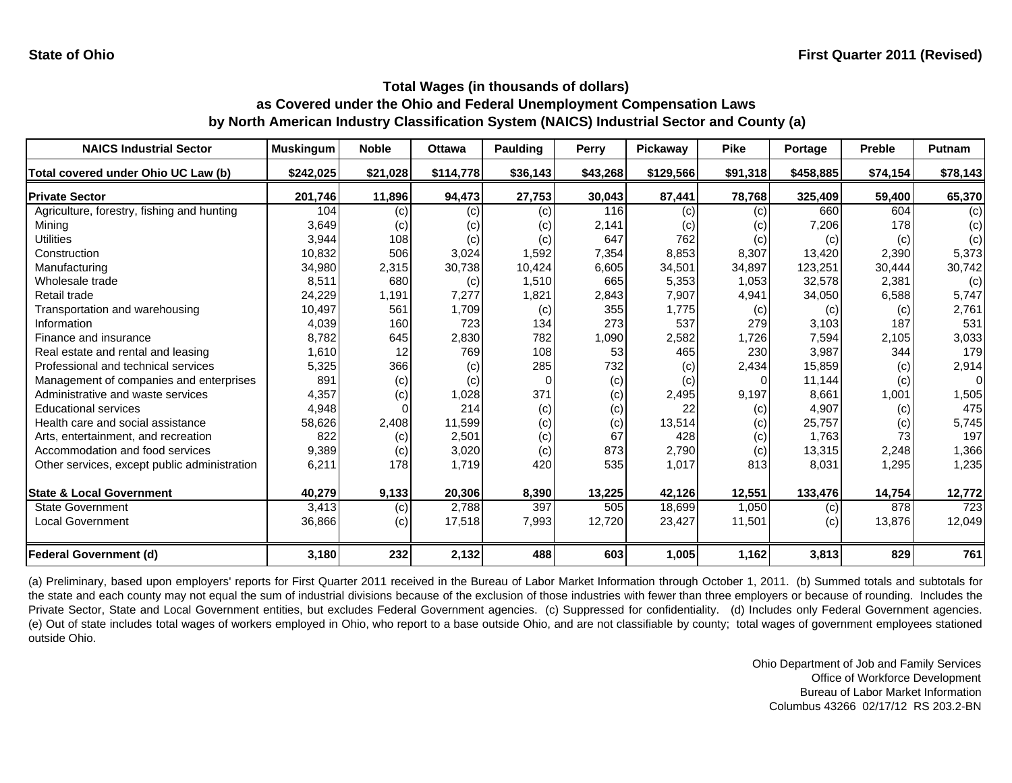| <b>NAICS Industrial Sector</b>               | <b>Muskingum</b> | <b>Noble</b> | <b>Ottawa</b> | <b>Paulding</b> | Perry    | Pickaway  | <b>Pike</b> | Portage   | <b>Preble</b> | Putnam   |
|----------------------------------------------|------------------|--------------|---------------|-----------------|----------|-----------|-------------|-----------|---------------|----------|
| Total covered under Ohio UC Law (b)          | \$242,025        | \$21,028     | \$114,778     | \$36,143        | \$43,268 | \$129,566 | \$91,318    | \$458,885 | \$74,154      | \$78,143 |
| <b>Private Sector</b>                        | 201,746          | 11,896       | 94,473        | 27,753          | 30,043   | 87,441    | 78,768      | 325,409   | 59,400        | 65,370   |
| Agriculture, forestry, fishing and hunting   | 104              | (c)          | (c)           | (c)             | 116      | (c)       | (c)         | 660       | 604           | (c)      |
| Mining                                       | 3,649            | (c)          | (c)           | (c)             | 2,141    | (c)       | (c)         | 7,206     | 178           | (c)      |
| Utilities                                    | 3,944            | 108          | (c)           | (c)             | 647      | 762       | (c)         | (c)       | (c)           | (c)      |
| Construction                                 | 10,832           | 506          | 3,024         | 1,592           | 7,354    | 8,853     | 8,307       | 13,420    | 2,390         | 5,373    |
| Manufacturing                                | 34,980           | 2,315        | 30,738        | 10,424          | 6,605    | 34,501    | 34,897      | 123,251   | 30,444        | 30,742   |
| Wholesale trade                              | 8,511            | 680          | (c)           | 1,510           | 665      | 5,353     | 1,053       | 32,578    | 2,381         | (c)      |
| Retail trade                                 | 24,229           | 1,191        | 7,277         | 1,821           | 2,843    | 7,907     | 4,941       | 34,050    | 6,588         | 5,747    |
| Transportation and warehousing               | 10,497           | 561          | 1,709         | (c)             | 355      | 1,775     | (c)         | (c)       | (c)           | 2,761    |
| Information                                  | 4,039            | 160          | 723           | 134             | 273      | 537       | 279         | 3,103     | 187           | 531      |
| Finance and insurance                        | 8,782            | 645          | 2,830         | 782             | 1,090    | 2,582     | 1,726       | 7,594     | 2,105         | 3,033    |
| Real estate and rental and leasing           | 1,610            | 12           | 769           | 108             | 53       | 465       | 230         | 3,987     | 344           | 179      |
| Professional and technical services          | 5,325            | 366          | (c)           | 285             | 732      | (c)       | 2,434       | 15,859    | (c)           | 2,914    |
| Management of companies and enterprises      | 891              | (c)          | (c)           | O               | (c)      | (c)       |             | 11,144    | (c)           | $\Omega$ |
| Administrative and waste services            | 4,357            | (c)          | 1,028         | 371             | (c)      | 2,495     | 9,197       | 8.661     | 1,001         | 1,505    |
| <b>Educational services</b>                  | 4,948            |              | 214           | (c)             | (c)      | 22        | (c)         | 4,907     | (c)           | 475      |
| Health care and social assistance            | 58,626           | 2,408        | 11,599        | (c)             | (c)      | 13,514    | (c)         | 25,757    | (c)           | 5,745    |
| Arts, entertainment, and recreation          | 822              | (c)          | 2,501         | (c)             | 67       | 428       | (c)         | 1,763     | 73            | 197      |
| Accommodation and food services              | 9,389            | (c)          | 3,020         | (c)             | 873      | 2,790     | (c)         | 13,315    | 2,248         | 1,366    |
| Other services, except public administration | 6,211            | 178          | 1,719         | 420             | 535      | 1,017     | 813         | 8,031     | 1,295         | 1,235    |
| <b>State &amp; Local Government</b>          | 40,279           | 9,133        | 20,306        | 8,390           | 13,225   | 42,126    | 12,551      | 133,476   | 14,754        | 12,772   |
| <b>State Government</b>                      | 3,413            | (c)          | 2,788         | 397             | 505      | 18.699    | 1,050       | (c)       | 878           | 723      |
| <b>Local Government</b>                      | 36,866           | (c)          | 17,518        | 7,993           | 12,720   | 23,427    | 11,501      | (c)       | 13,876        | 12,049   |
| <b>Federal Government (d)</b>                | 3,180            | 232          | 2,132         | 488             | 603      | 1,005     | 1,162       | 3,813     | 829           | 761      |

(a) Preliminary, based upon employers' reports for First Quarter 2011 received in the Bureau of Labor Market Information through October 1, 2011. (b) Summed totals and subtotals for the state and each county may not equal the sum of industrial divisions because of the exclusion of those industries with fewer than three employers or because of rounding. Includes the Private Sector, State and Local Government entities, but excludes Federal Government agencies. (c) Suppressed for confidentiality. (d) Includes only Federal Government agencies. (e) Out of state includes total wages of workers employed in Ohio, who report to <sup>a</sup> base outside Ohio, and are not classifiable by county; total wages of government employees stationed outside Ohio.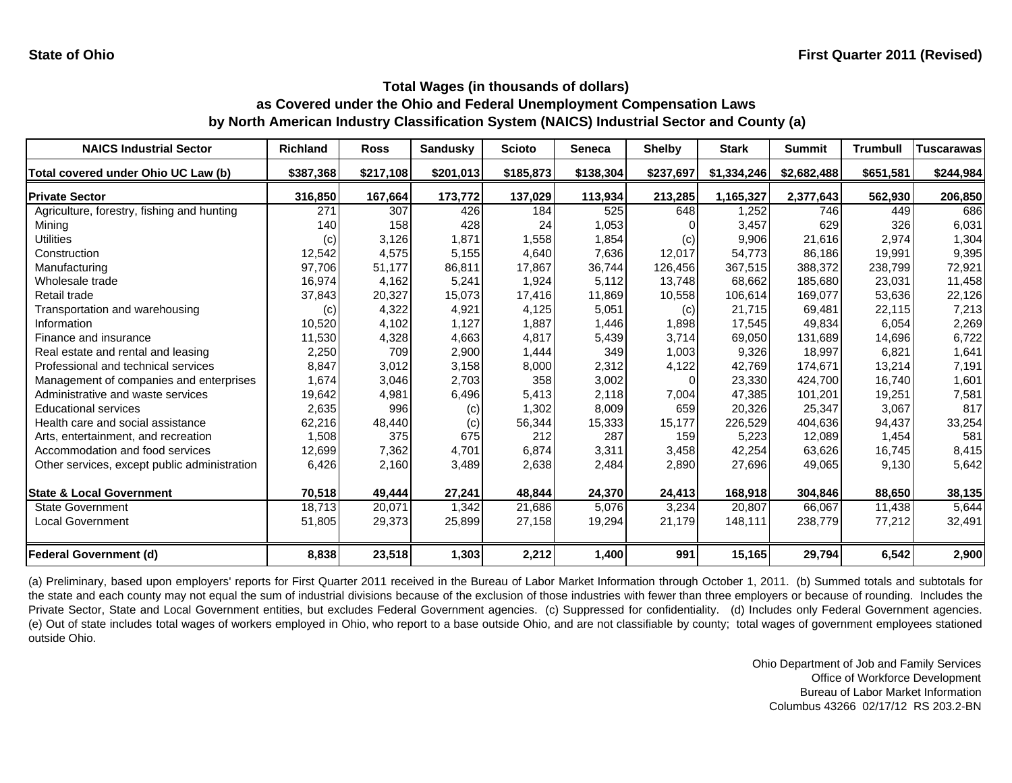| <b>NAICS Industrial Sector</b>               | <b>Richland</b> | <b>Ross</b> | <b>Sandusky</b> | <b>Scioto</b> | <b>Seneca</b> | <b>Shelby</b> | <b>Stark</b> | <b>Summit</b> | <b>Trumbull</b> | <b>Tuscarawas</b> |
|----------------------------------------------|-----------------|-------------|-----------------|---------------|---------------|---------------|--------------|---------------|-----------------|-------------------|
| Total covered under Ohio UC Law (b)          | \$387,368       | \$217,108   | \$201,013       | \$185,873     | \$138,304     | \$237,697     | \$1,334,246  | \$2,682,488   | \$651,581       | \$244,984         |
| <b>Private Sector</b>                        | 316,850         | 167,664     | 173,772         | 137,029       | 113,934       | 213,285       | 1,165,327    | 2,377,643     | 562,930         | 206,850           |
| Agriculture, forestry, fishing and hunting   | 271             | 307         | 426             | 184           | 525           | 648           | 1,252        | 746           | 449             | 686               |
| Mining                                       | 140             | 158         | 428             | 24            | 1,053         |               | 3,457        | 629           | 326             | 6,031             |
| Utilities                                    | (c)             | 3,126       | 1,871           | 1,558         | 1,854         | (c)           | 9,906        | 21,616        | 2,974           | 1,304             |
| Construction                                 | 12,542          | 4,575       | 5,155           | 4,640         | 7,636         | 12,017        | 54,773       | 86,186        | 19,991          | 9,395             |
| Manufacturing                                | 97,706          | 51,177      | 86,811          | 17,867        | 36,744        | 126,456       | 367,515      | 388,372       | 238,799         | 72,921            |
| Wholesale trade                              | 16,974          | 4,162       | 5,241           | 1,924         | 5,112         | 13,748        | 68,662       | 185,680       | 23,031          | 11,458            |
| Retail trade                                 | 37,843          | 20,327      | 15,073          | 17,416        | 11,869        | 10,558        | 106,614      | 169,077       | 53,636          | 22,126            |
| Transportation and warehousing               | (c)             | 4,322       | 4,921           | 4,125         | 5,051         | (c)           | 21,715       | 69,481        | 22,115          | 7,213             |
| Information                                  | 10,520          | 4,102       | 1,127           | 1,887         | 1,446         | 1,898         | 17.545       | 49.834        | 6.054           | 2,269             |
| Finance and insurance                        | 11,530          | 4,328       | 4,663           | 4,817         | 5,439         | 3,714         | 69,050       | 131,689       | 14,696          | 6,722             |
| Real estate and rental and leasing           | 2,250           | 709         | 2,900           | 1,444         | 349           | 1,003         | 9,326        | 18,997        | 6,821           | 1,641             |
| Professional and technical services          | 8,847           | 3,012       | 3,158           | 8,000         | 2,312         | 4,122         | 42,769       | 174,671       | 13,214          | 7,191             |
| Management of companies and enterprises      | 1,674           | 3,046       | 2,703           | 358           | 3,002         |               | 23,330       | 424,700       | 16,740          | 1,601             |
| Administrative and waste services            | 19,642          | 4,981       | 6,496           | 5,413         | 2,118         | 7,004         | 47,385       | 101,201       | 19,251          | 7,581             |
| <b>Educational services</b>                  | 2,635           | 996         | (c)             | 1,302         | 8,009         | 659           | 20,326       | 25,347        | 3,067           | 817               |
| Health care and social assistance            | 62,216          | 48,440      | (c)             | 56,344        | 15,333        | 15,177        | 226,529      | 404,636       | 94,437          | 33,254            |
| Arts, entertainment, and recreation          | 1,508           | 375         | 675             | 212           | 287           | 159           | 5,223        | 12,089        | 1,454           | 581               |
| Accommodation and food services              | 12,699          | 7,362       | 4,701           | 6,874         | 3,311         | 3,458         | 42,254       | 63,626        | 16,745          | 8,415             |
| Other services, except public administration | 6,426           | 2,160       | 3,489           | 2,638         | 2,484         | 2,890         | 27,696       | 49,065        | 9,130           | 5,642             |
| <b>State &amp; Local Government</b>          | 70,518          | 49,444      | 27,241          | 48,844        | 24,370        | 24,413        | 168,918      | 304,846       | 88,650          | 38,135            |
| <b>State Government</b>                      | 18,713          | 20,071      | 1,342           | 21,686        | 5,076         | 3,234         | 20,807       | 66,067        | 11,438          | 5,644             |
| <b>Local Government</b>                      | 51,805          | 29,373      | 25,899          | 27,158        | 19,294        | 21,179        | 148,111      | 238,779       | 77,212          | 32,491            |
| <b>Federal Government (d)</b>                | 8,838           | 23,518      | 1,303           | 2,212         | 1,400         | 991           | 15,165       | 29,794        | 6,542           | 2,900             |

(a) Preliminary, based upon employers' reports for First Quarter 2011 received in the Bureau of Labor Market Information through October 1, 2011. (b) Summed totals and subtotals for the state and each county may not equal the sum of industrial divisions because of the exclusion of those industries with fewer than three employers or because of rounding. Includes the Private Sector, State and Local Government entities, but excludes Federal Government agencies. (c) Suppressed for confidentiality. (d) Includes only Federal Government agencies. (e) Out of state includes total wages of workers employed in Ohio, who report to <sup>a</sup> base outside Ohio, and are not classifiable by county; total wages of government employees stationed outside Ohio.